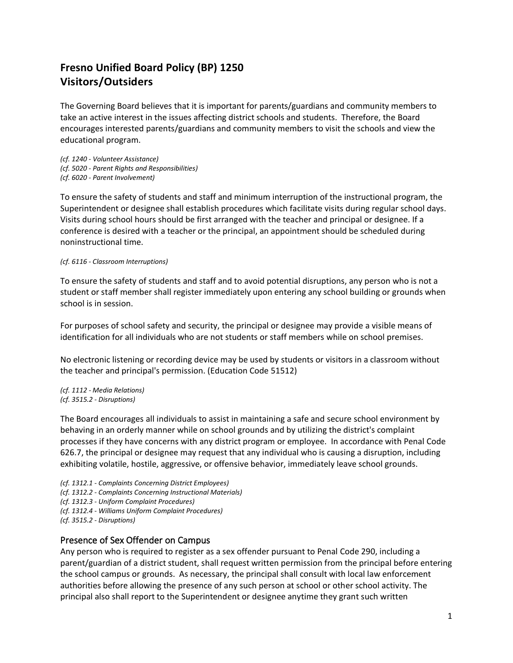## **Fresno Unified Board Policy (BP) 1250 Visitors/Outsiders**

The Governing Board believes that it is important for parents/guardians and community members to take an active interest in the issues affecting district schools and students. Therefore, the Board encourages interested parents/guardians and community members to visit the schools and view the educational program.

*(cf. 1240 - Volunteer Assistance) (cf. 5020 - Parent Rights and Responsibilities) (cf. 6020 - Parent Involvement)*

To ensure the safety of students and staff and minimum interruption of the instructional program, the Superintendent or designee shall establish procedures which facilitate visits during regular school days. Visits during school hours should be first arranged with the teacher and principal or designee. If a conference is desired with a teacher or the principal, an appointment should be scheduled during noninstructional time.

*(cf. 6116 - Classroom Interruptions)*

To ensure the safety of students and staff and to avoid potential disruptions, any person who is not a student or staff member shall register immediately upon entering any school building or grounds when school is in session.

For purposes of school safety and security, the principal or designee may provide a visible means of identification for all individuals who are not students or staff members while on school premises.

No electronic listening or recording device may be used by students or visitors in a classroom without the teacher and principal's permission. (Education Code [51512\)](http://www.fresno.k12.ca.us/boardpolicies/fusd/displaypolicy/132724/1.htm)

*(cf[. 1112](http://www.fresno.k12.ca.us/boardpolicies/fusd/displaypolicy/144036/1.htm) - Media Relations) (cf[. 3515.2](http://www.fresno.k12.ca.us/boardpolicies/fusd/displaypolicy/143553/1.htm) - Disruptions)* 

The Board encourages all individuals to assist in maintaining a safe and secure school environment by behaving in an orderly manner while on school grounds and by utilizing the district's complaint processes if they have concerns with any district program or employee. In accordance with Penal Code 626.7, the principal or designee may request that any individual who is causing a disruption, including exhibiting volatile, hostile, aggressive, or offensive behavior, immediately leave school grounds.

*(cf. 1312.1 - Complaints Concerning District Employees) (cf. 1312.2 - Complaints Concerning Instructional Materials) (cf. 1312.3 - Uniform Complaint Procedures) (cf. 1312.4 - Williams Uniform Complaint Procedures) (cf. 3515.2 - Disruptions)*

## Presence of Sex Offender on Campus

Any person who is required to register as a sex offender pursuant to Penal Code 290, including a parent/guardian of a district student, shall request written permission from the principal before entering the school campus or grounds. As necessary, the principal shall consult with local law enforcement authorities before allowing the presence of any such person at school or other school activity. The principal also shall report to the Superintendent or designee anytime they grant such written